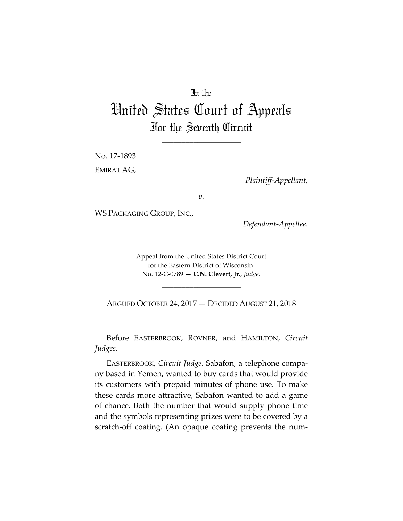## In the

## United States Court of Appeals For the Seventh Circuit

\_\_\_\_\_\_\_\_\_\_\_\_\_\_\_\_\_\_\_\_

No. 17-1893 EMIRAT AG,

*Plaintiff-Appellant*,

*v.*

WS PACKAGING GROUP, INC.,

*Defendant-Appellee*.

Appeal from the United States District Court for the Eastern District of Wisconsin. No. 12-C-0789 — **C.N. Clevert, Jr.**, *Judge*.

\_\_\_\_\_\_\_\_\_\_\_\_\_\_\_\_\_\_\_\_

\_\_\_\_\_\_\_\_\_\_\_\_\_\_\_\_\_\_\_\_

ARGUED OCTOBER 24, 2017 — DECIDED AUGUST 21, 2018 \_\_\_\_\_\_\_\_\_\_\_\_\_\_\_\_\_\_\_\_

Before EASTERBROOK, ROVNER, and HAMILTON, *Circuit Judges*.

EASTERBROOK, *Circuit Judge*. Sabafon, a telephone company based in Yemen, wanted to buy cards that would provide its customers with prepaid minutes of phone use. To make these cards more attractive, Sabafon wanted to add a game of chance. Both the number that would supply phone time and the symbols representing prizes were to be covered by a scratch-off coating. (An opaque coating prevents the num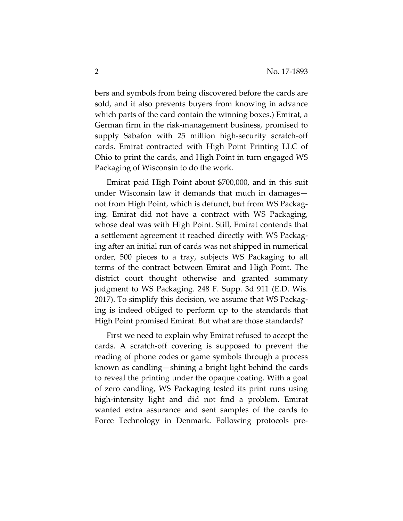bers and symbols from being discovered before the cards are sold, and it also prevents buyers from knowing in advance which parts of the card contain the winning boxes.) Emirat, a German firm in the risk-management business, promised to supply Sabafon with 25 million high-security scratch-off cards. Emirat contracted with High Point Printing LLC of Ohio to print the cards, and High Point in turn engaged WS Packaging of Wisconsin to do the work.

Emirat paid High Point about \$700,000, and in this suit under Wisconsin law it demands that much in damages not from High Point, which is defunct, but from WS Packaging. Emirat did not have a contract with WS Packaging, whose deal was with High Point. Still, Emirat contends that a settlement agreement it reached directly with WS Packaging after an initial run of cards was not shipped in numerical order, 500 pieces to a tray, subjects WS Packaging to all terms of the contract between Emirat and High Point. The district court thought otherwise and granted summary judgment to WS Packaging. 248 F. Supp. 3d 911 (E.D. Wis. 2017). To simplify this decision, we assume that WS Packaging is indeed obliged to perform up to the standards that High Point promised Emirat. But what are those standards?

First we need to explain why Emirat refused to accept the cards. A scratch-off covering is supposed to prevent the reading of phone codes or game symbols through a process known as candling—shining a bright light behind the cards to reveal the printing under the opaque coating. With a goal of zero candling, WS Packaging tested its print runs using high-intensity light and did not find a problem. Emirat wanted extra assurance and sent samples of the cards to Force Technology in Denmark. Following protocols pre-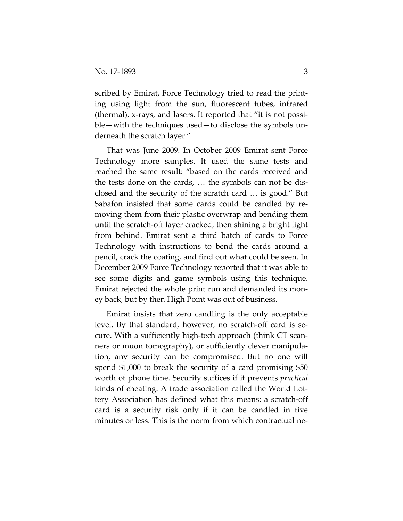scribed by Emirat, Force Technology tried to read the printing using light from the sun, fluorescent tubes, infrared (thermal), x-rays, and lasers. It reported that "it is not possible—with the techniques used—to disclose the symbols underneath the scratch layer."

That was June 2009. In October 2009 Emirat sent Force Technology more samples. It used the same tests and reached the same result: "based on the cards received and the tests done on the cards, … the symbols can not be disclosed and the security of the scratch card … is good." But Sabafon insisted that some cards could be candled by removing them from their plastic overwrap and bending them until the scratch-off layer cracked, then shining a bright light from behind. Emirat sent a third batch of cards to Force Technology with instructions to bend the cards around a pencil, crack the coating, and find out what could be seen. In December 2009 Force Technology reported that it was able to see some digits and game symbols using this technique. Emirat rejected the whole print run and demanded its money back, but by then High Point was out of business.

Emirat insists that zero candling is the only acceptable level. By that standard, however, no scratch-off card is secure. With a sufficiently high-tech approach (think CT scanners or muon tomography), or sufficiently clever manipulation, any security can be compromised. But no one will spend \$1,000 to break the security of a card promising \$50 worth of phone time. Security suffices if it prevents *practical* kinds of cheating. A trade association called the World Lottery Association has defined what this means: a scratch-off card is a security risk only if it can be candled in five minutes or less. This is the norm from which contractual ne-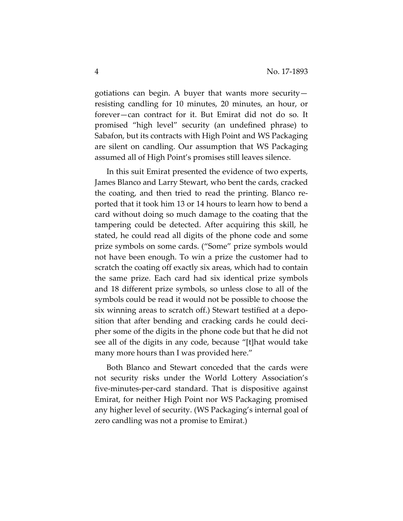gotiations can begin. A buyer that wants more security resisting candling for 10 minutes, 20 minutes, an hour, or forever—can contract for it. But Emirat did not do so. It promised "high level" security (an undefined phrase) to Sabafon, but its contracts with High Point and WS Packaging are silent on candling. Our assumption that WS Packaging assumed all of High Point's promises still leaves silence.

In this suit Emirat presented the evidence of two experts, James Blanco and Larry Stewart, who bent the cards, cracked the coating, and then tried to read the printing. Blanco reported that it took him 13 or 14 hours to learn how to bend a card without doing so much damage to the coating that the tampering could be detected. After acquiring this skill, he stated, he could read all digits of the phone code and some prize symbols on some cards. ("Some" prize symbols would not have been enough. To win a prize the customer had to scratch the coating off exactly six areas, which had to contain the same prize. Each card had six identical prize symbols and 18 different prize symbols, so unless close to all of the symbols could be read it would not be possible to choose the six winning areas to scratch off.) Stewart testified at a deposition that after bending and cracking cards he could decipher some of the digits in the phone code but that he did not see all of the digits in any code, because "[t]hat would take many more hours than I was provided here."

Both Blanco and Stewart conceded that the cards were not security risks under the World Lottery Association's five-minutes-per-card standard. That is dispositive against Emirat, for neither High Point nor WS Packaging promised any higher level of security. (WS Packaging's internal goal of zero candling was not a promise to Emirat.)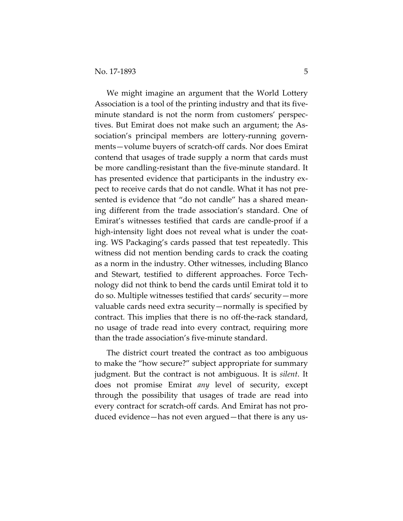We might imagine an argument that the World Lottery Association is a tool of the printing industry and that its fiveminute standard is not the norm from customers' perspectives. But Emirat does not make such an argument; the Association's principal members are lottery-running governments—volume buyers of scratch-off cards. Nor does Emirat contend that usages of trade supply a norm that cards must be more candling-resistant than the five-minute standard. It has presented evidence that participants in the industry expect to receive cards that do not candle. What it has not presented is evidence that "do not candle" has a shared meaning different from the trade association's standard. One of Emirat's witnesses testified that cards are candle-proof if a high-intensity light does not reveal what is under the coating. WS Packaging's cards passed that test repeatedly. This witness did not mention bending cards to crack the coating as a norm in the industry. Other witnesses, including Blanco and Stewart, testified to different approaches. Force Technology did not think to bend the cards until Emirat told it to do so. Multiple witnesses testified that cards' security—more valuable cards need extra security—normally is specified by contract. This implies that there is no off-the-rack standard, no usage of trade read into every contract, requiring more than the trade association's five-minute standard.

The district court treated the contract as too ambiguous to make the "how secure?" subject appropriate for summary judgment. But the contract is not ambiguous. It is *silent*. It does not promise Emirat *any* level of security, except through the possibility that usages of trade are read into every contract for scratch-off cards. And Emirat has not produced evidence—has not even argued—that there is any us